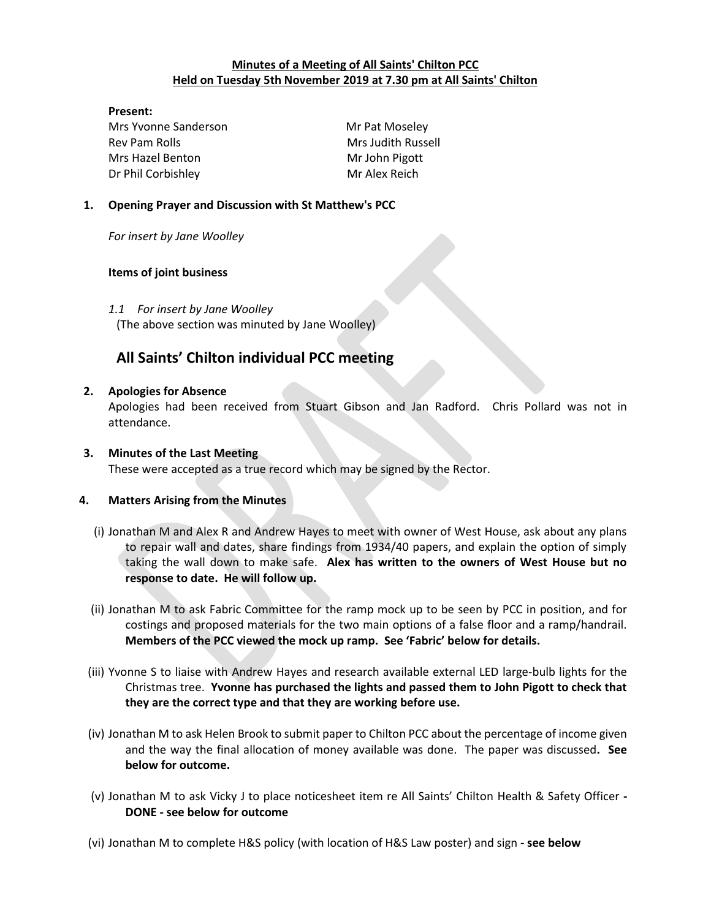# **Minutes of a Meeting of All Saints' Chilton PCC Held on Tuesday 5th November 2019 at 7.30 pm at All Saints' Chilton**

#### **Present:**

Mrs Yvonne Sanderson Mr Pat Moseley Rev Pam Rolls **Mrs** Judith Russell Mrs Hazel Benton Mr John Pigott Dr Phil Corbishley Mr Alex Reich

## **1. Opening Prayer and Discussion with St Matthew's PCC**

*For insert by Jane Woolley*

## **Items of joint business**

## *1.1 For insert by Jane Woolley*

(The above section was minuted by Jane Woolley)

# **All Saints' Chilton individual PCC meeting**

#### **2. Apologies for Absence**

Apologies had been received from Stuart Gibson and Jan Radford. Chris Pollard was not in attendance.

# **3. Minutes of the Last Meeting** These were accepted as a true record which may be signed by the Rector.

# **4. Matters Arising from the Minutes**

- (i) Jonathan M and Alex R and Andrew Hayes to meet with owner of West House, ask about any plans to repair wall and dates, share findings from 1934/40 papers, and explain the option of simply taking the wall down to make safe. **Alex has written to the owners of West House but no response to date. He will follow up.**
- (ii) Jonathan M to ask Fabric Committee for the ramp mock up to be seen by PCC in position, and for costings and proposed materials for the two main options of a false floor and a ramp/handrail. **Members of the PCC viewed the mock up ramp. See 'Fabric' below for details.**
- (iii) Yvonne S to liaise with Andrew Hayes and research available external LED large-bulb lights for the Christmas tree. **Yvonne has purchased the lights and passed them to John Pigott to check that they are the correct type and that they are working before use.**
- (iv) Jonathan M to ask Helen Brook to submit paper to Chilton PCC about the percentage of income given and the way the final allocation of money available was done. The paper was discussed**. See below for outcome.**
- (v) Jonathan M to ask Vicky J to place noticesheet item re All Saints' Chilton Health & Safety Officer **- DONE - see below for outcome**
- (vi) Jonathan M to complete H&S policy (with location of H&S Law poster) and sign **- see below**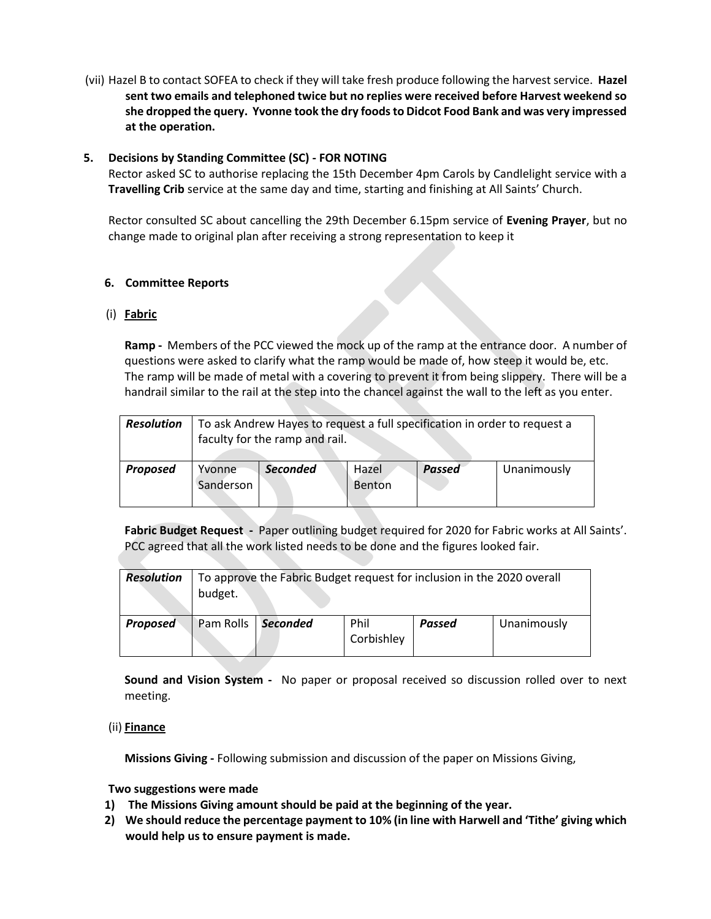(vii) Hazel B to contact SOFEA to check if they will take fresh produce following the harvest service. **Hazel sent two emails and telephoned twice but no replies were received before Harvest weekend so she dropped the query. Yvonne took the dry foods to Didcot Food Bank and was very impressed at the operation.**

#### **5. Decisions by Standing Committee (SC) - FOR NOTING**

Rector asked SC to authorise replacing the 15th December 4pm Carols by Candlelight service with a **Travelling Crib** service at the same day and time, starting and finishing at All Saints' Church.

Rector consulted SC about cancelling the 29th December 6.15pm service of **Evening Prayer**, but no change made to original plan after receiving a strong representation to keep it

## **6. Committee Reports**

## (i) **Fabric**

**Ramp -** Members of the PCC viewed the mock up of the ramp at the entrance door. A number of questions were asked to clarify what the ramp would be made of, how steep it would be, etc. The ramp will be made of metal with a covering to prevent it from being slippery. There will be a handrail similar to the rail at the step into the chancel against the wall to the left as you enter.

| <b>Resolution</b> | To ask Andrew Hayes to request a full specification in order to request a<br>faculty for the ramp and rail. |                 |               |             |  |
|-------------------|-------------------------------------------------------------------------------------------------------------|-----------------|---------------|-------------|--|
| <b>Proposed</b>   | <b>Seconded</b><br>Yvonne<br>Sanderson                                                                      | Hazel<br>Benton | <b>Passed</b> | Unanimously |  |

**Fabric Budget Request -** Paper outlining budget required for 2020 for Fabric works at All Saints'. PCC agreed that all the work listed needs to be done and the figures looked fair.

| <b>Resolution</b> | To approve the Fabric Budget request for inclusion in the 2020 overall<br>budget. |                      |                    |        |             |
|-------------------|-----------------------------------------------------------------------------------|----------------------|--------------------|--------|-------------|
| <b>Proposed</b>   |                                                                                   | Pam Rolls   Seconded | Phil<br>Corbishley | Passed | Unanimously |

**Sound and Vision System -** No paper or proposal received so discussion rolled over to next meeting.

#### (ii) **Finance**

**Missions Giving -** Following submission and discussion of the paper on Missions Giving,

#### **Two suggestions were made**

- **1) The Missions Giving amount should be paid at the beginning of the year.**
- **2) We should reduce the percentage payment to 10% (in line with Harwell and 'Tithe' giving which would help us to ensure payment is made.**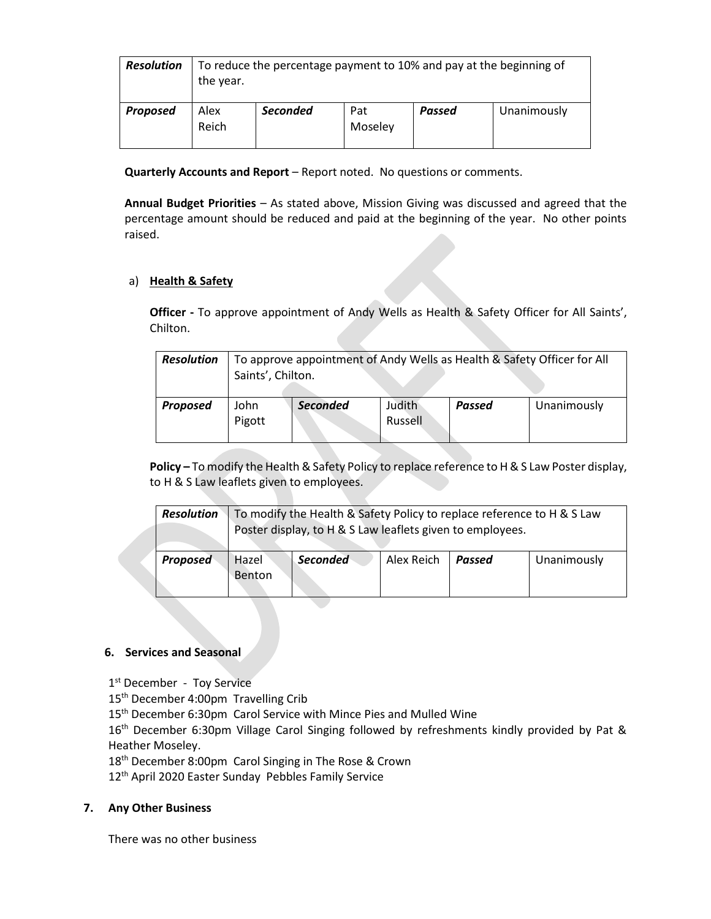| <b>Resolution</b> | To reduce the percentage payment to 10% and pay at the beginning of<br>the year. |                 |                |        |             |
|-------------------|----------------------------------------------------------------------------------|-----------------|----------------|--------|-------------|
| <b>Proposed</b>   | Alex<br>Reich                                                                    | <b>Seconded</b> | Pat<br>Moseley | Passed | Unanimously |

**Quarterly Accounts and Report** – Report noted. No questions or comments.

**Annual Budget Priorities** – As stated above, Mission Giving was discussed and agreed that the percentage amount should be reduced and paid at the beginning of the year. No other points raised.

## a) **Health & Safety**

**Officer -** To approve appointment of Andy Wells as Health & Safety Officer for All Saints', Chilton.

| <b>Resolution</b> | To approve appointment of Andy Wells as Health & Safety Officer for All<br>Saints', Chilton. |                 |                          |               |             |  |
|-------------------|----------------------------------------------------------------------------------------------|-----------------|--------------------------|---------------|-------------|--|
| Proposed          | John<br>Pigott                                                                               | <b>Seconded</b> | <b>Judith</b><br>Russell | <b>Passed</b> | Unanimously |  |

**Policy –** To modify the Health & Safety Policy to replace reference to H & S Law Poster display, to H & S Law leaflets given to employees.

| <b>Resolution</b> | To modify the Health & Safety Policy to replace reference to H & S Law<br>Poster display, to H & S Law leaflets given to employees. |          |            |        |             |
|-------------------|-------------------------------------------------------------------------------------------------------------------------------------|----------|------------|--------|-------------|
| <b>Proposed</b>   | Hazel<br>Benton                                                                                                                     | Seconded | Alex Reich | Passed | Unanimously |

#### **6. Services and Seasonal**

1st December - Toy Service

15<sup>th</sup> December 4:00pm Travelling Crib

15<sup>th</sup> December 6:30pm Carol Service with Mince Pies and Mulled Wine

16<sup>th</sup> December 6:30pm Village Carol Singing followed by refreshments kindly provided by Pat & Heather Moseley.

18<sup>th</sup> December 8:00pm Carol Singing in The Rose & Crown

12<sup>th</sup> April 2020 Easter Sunday Pebbles Family Service

#### **7. Any Other Business**

There was no other business